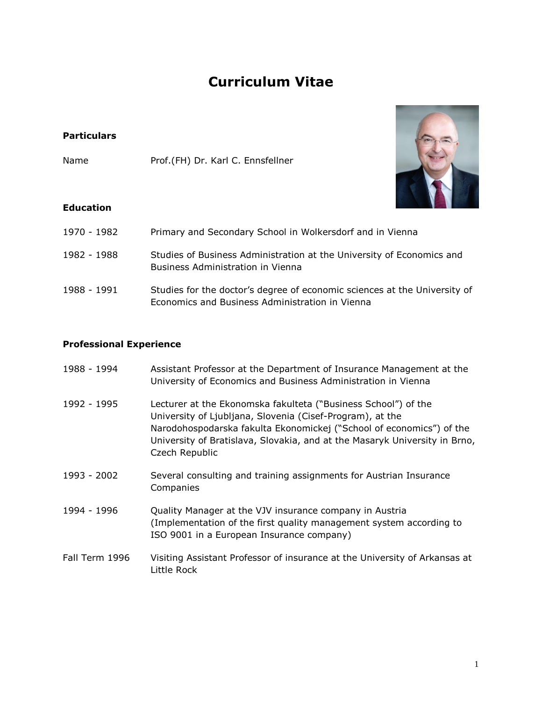## **Curriculum Vitae**

## **Particulars**

Name Prof.(FH) Dr. Karl C. Ennsfellner



## **Education**

- 1970 1982 Primary and Secondary School in Wolkersdorf and in Vienna
- 1982 1988 Studies of Business Administration at the University of Economics and Business Administration in Vienna
- 1988 1991 Studies for the doctor's degree of economic sciences at the University of Economics and Business Administration in Vienna

## **Professional Experience**

| 1988 - 1994    | Assistant Professor at the Department of Insurance Management at the<br>University of Economics and Business Administration in Vienna                                                                                                                                                               |
|----------------|-----------------------------------------------------------------------------------------------------------------------------------------------------------------------------------------------------------------------------------------------------------------------------------------------------|
| 1992 - 1995    | Lecturer at the Ekonomska fakulteta ("Business School") of the<br>University of Ljubljana, Slovenia (Cisef-Program), at the<br>Narodohospodarska fakulta Ekonomickej ("School of economics") of the<br>University of Bratislava, Slovakia, and at the Masaryk University in Brno,<br>Czech Republic |
| 1993 - 2002    | Several consulting and training assignments for Austrian Insurance<br>Companies                                                                                                                                                                                                                     |
| 1994 - 1996    | Quality Manager at the VJV insurance company in Austria<br>(Implementation of the first quality management system according to<br>ISO 9001 in a European Insurance company)                                                                                                                         |
| Fall Term 1996 | Visiting Assistant Professor of insurance at the University of Arkansas at<br>Little Rock                                                                                                                                                                                                           |